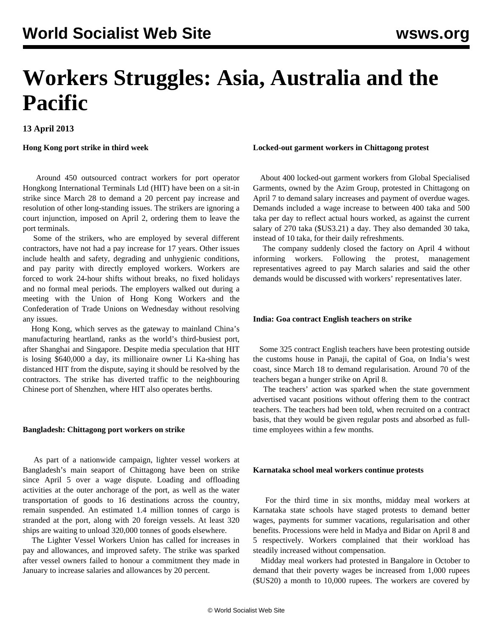**13 April 2013**

## **Hong Kong port strike in third week**

 Around 450 outsourced contract workers for port operator Hongkong International Terminals Ltd (HIT) have been on a sit-in strike since March 28 to demand a 20 percent pay increase and resolution of other long-standing issues. The strikers are ignoring a court injunction, imposed on April 2, ordering them to leave the port terminals.

 Some of the strikers, who are employed by several different contractors, have not had a pay increase for 17 years. Other issues include health and safety, degrading and unhygienic conditions, and pay parity with directly employed workers. Workers are forced to work 24-hour shifts without breaks, no fixed holidays and no formal meal periods. The employers walked out during a meeting with the Union of Hong Kong Workers and the Confederation of Trade Unions on Wednesday without resolving any issues.

 Hong Kong, which serves as the gateway to mainland China's manufacturing heartland, ranks as the world's third-busiest port, after Shanghai and Singapore. Despite media speculation that HIT is losing \$640,000 a day, its millionaire owner Li Ka-shing has distanced HIT from the dispute, saying it should be resolved by the contractors. The strike has diverted traffic to the neighbouring Chinese port of Shenzhen, where HIT also operates berths.

## **Bangladesh: Chittagong port workers on strike**

 As part of a nationwide campaign, lighter vessel workers at Bangladesh's main seaport of Chittagong have been on strike since April 5 over a wage dispute. Loading and offloading activities at the outer anchorage of the port, as well as the water transportation of goods to 16 destinations across the country, remain suspended. An estimated 1.4 million tonnes of cargo is stranded at the port, along with 20 foreign vessels. At least 320 ships are waiting to unload 320,000 tonnes of goods elsewhere.

 The Lighter Vessel Workers Union has called for increases in pay and allowances, and improved safety. The strike was sparked after vessel owners failed to honour a commitment they made in January to increase salaries and allowances by 20 percent.

## **Locked-out garment workers in Chittagong protest**

 About 400 locked-out garment workers from Global Specialised Garments, owned by the Azim Group, protested in Chittagong on April 7 to demand salary increases and payment of overdue wages. Demands included a wage increase to between 400 taka and 500 taka per day to reflect actual hours worked, as against the current salary of 270 taka (\$US3.21) a day. They also demanded 30 taka, instead of 10 taka, for their daily refreshments.

 The company suddenly closed the factory on April 4 without informing workers. Following the protest, management representatives agreed to pay March salaries and said the other demands would be discussed with workers' representatives later.

## **India: Goa contract English teachers on strike**

 Some 325 contract English teachers have been protesting outside the customs house in Panaji, the capital of Goa, on India's west coast, since March 18 to demand regularisation. Around 70 of the teachers began a hunger strike on April 8.

 The teachers' action was sparked when the state government advertised vacant positions without offering them to the contract teachers. The teachers had been told, when recruited on a contract basis, that they would be given regular posts and absorbed as fulltime employees within a few months.

### **Karnataka school meal workers continue protests**

 For the third time in six months, midday meal workers at Karnataka state schools have staged protests to demand better wages, payments for summer vacations, regularisation and other benefits. Processions were held in Madya and Bidar on April 8 and 5 respectively. Workers complained that their workload has steadily increased without compensation.

 Midday meal workers had protested in Bangalore in October to demand that their poverty wages be increased from 1,000 rupees (\$US20) a month to 10,000 rupees. The workers are covered by